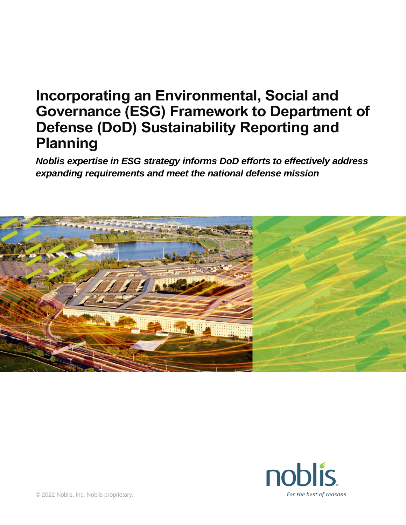## **Incorporating an Environmental, Social and Governance (ESG) Framework to Department of Defense (DoD) Sustainability Reporting and Planning**

*Noblis expertise in ESG strategy informs DoD efforts to effectively address expanding requirements and meet the national defense mission* 



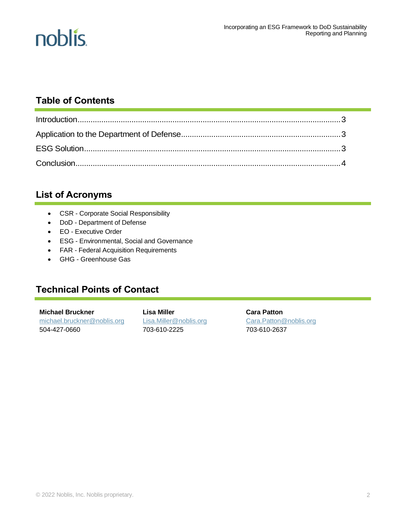

### **Table of Contents**

### **List of Acronyms**

- CSR Corporate Social Responsibility
- DoD Department of Defense
- EO Executive Order
- ESG Environmental, Social and Governance
- FAR Federal Acquisition Requirements
- GHG Greenhouse Gas

### **Technical Points of Contact**

**Michael Bruckner** [michael.bruckner@noblis.org](mailto:michael.bruckner@noblis.org) 504-427-0660

**Lisa Miller** [Lisa.Miller@noblis.org](mailto:Lisa.Miller@noblis.org) 703-610-2225

**Cara Patton** [Cara.Patton@noblis.org](mailto:Cara.Patton@noblis.org) 703-610-2637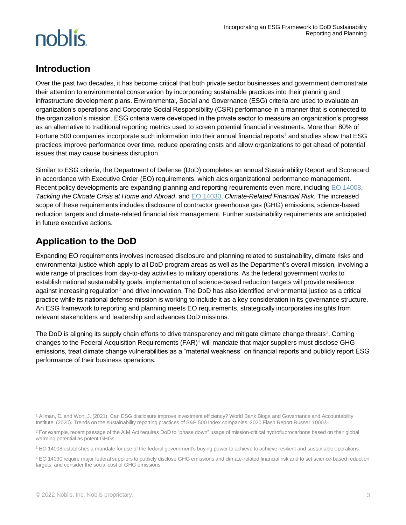# noblis.

### **Introduction**

Over the past two decades, it has become critical that both private sector businesses and government demonstrate their attention to environmental conservation by incorporating sustainable practices into their planning and infrastructure development plans. Environmental, Social and Governance (ESG) criteria are used to evaluate an organization's operations and Corporate Social Responsibility (CSR) performance in a manner that is connected to the organization's mission. ESG criteria were developed in the private sector to measure an organization's progress as an alternative to traditional reporting metrics used to screen potential financial investments. More than 80% of Fortune 500 companies incorporate such information into their annual financial reports<sup>1</sup> and studies show that ESG practices improve performance over time, reduce operating costs and allow organizations to get ahead of potential issues that may cause business disruption.

Similar to ESG criteria, the Department of Defense (DoD) completes an annual Sustainability Report and Scorecard in accordance with Executive Order (EO) requirements, which aids organizational performance management. Recent policy developments are expanding planning and reporting requirements even more, includin[g EO 14008,](https://www.federalregister.gov/documents/2021/02/01/2021-02177/tackling-the-climate-crisis-at-home-and-abroad) *Tackling the Climate Crisis at Home and Abroad*, an[d EO 14030,](https://www.federalregister.gov/documents/2021/05/25/2021-11168/climate-related-financial-risk) *Climate-Related Financial Risk*. The increased scope of these requirements includes disclosure of contractor greenhouse gas (GHG) emissions, science-based reduction targets and climate-related financial risk management. Further sustainability requirements are anticipated in future executive actions.

### **Application to the DoD**

Expanding EO requirements involves increased disclosure and planning related to sustainability, climate risks and environmental justice which apply to all DoD program areas as well as the Department's overall mission, involving a wide range of practices from day-to-day activities to military operations. As the federal government works to establish national sustainability goals, implementation of science-based reduction targets will provide resilience against increasing regulation<sup>2</sup> and drive innovation. The DoD has also identified environmental justice as a critical practice while its national defense mission is working to include it as a key consideration in its governance structure. An ESG framework to reporting and planning meets EO requirements, strategically incorporates insights from relevant stakeholders and leadership and advances DoD missions.

The DoD is aligning its supply chain efforts to drive transparency and mitigate climate change threats<sup>3</sup>. Coming changes to the Federal Acquisition Requirements (FAR) <sup>4</sup> will mandate that major suppliers must disclose GHG emissions, treat climate change vulnerabilities as a "material weakness" on financial reports and publicly report ESG performance of their business operations.

<sup>1</sup> Allman, E. and Won, J. (2021). Can ESG disclosure improve investment efficiency? World Bank Blogs and Governance and Accountability Institute. (2020). Trends on the sustainability reporting practices of S&P 500 Index companies. 2020 Flash Report Russell 1000®.

<sup>&</sup>lt;sup>2</sup> For example, recent passage of the AIM Act requires DoD to "phase down" usage of mission-critical hydrofluorocarbons based on their global warming potential as potent GHGs.

<sup>&</sup>lt;sup>3</sup> EO 14008 establishes a mandate for use of the federal government's buying power to achieve to achieve resilient and sustainable operations.

<sup>4</sup> EO 14030 require major federal suppliers to publicly disclose GHG emissions and climate-related financial risk and to set science-based reduction targets; and consider the social cost of GHG emissions.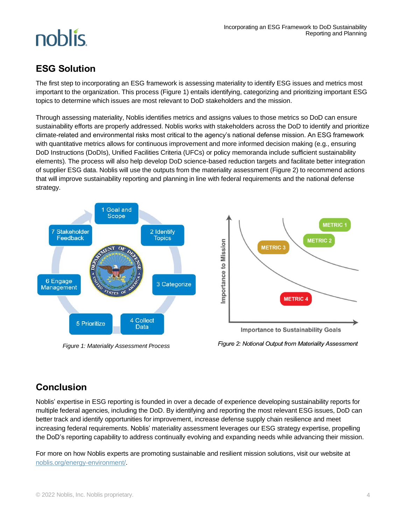# noblis.

### **ESG Solution**

The first step to incorporating an ESG framework is assessing materiality to identify ESG issues and metrics most important to the organization. This process (Figure 1) entails identifying, categorizing and prioritizing important ESG topics to determine which issues are most relevant to DoD stakeholders and the mission.

Through assessing materiality, Noblis identifies metrics and assigns values to those metrics so DoD can ensure sustainability efforts are properly addressed. Noblis works with stakeholders across the DoD to identify and prioritize climate-related and environmental risks most critical to the agency's national defense mission. An ESG framework with quantitative metrics allows for continuous improvement and more informed decision making (e.g., ensuring DoD Instructions (DoDIs), Unified Facilities Criteria (UFCs) or policy memoranda include sufficient sustainability elements). The process will also help develop DoD science-based reduction targets and facilitate better integration of supplier ESG data. Noblis will use the outputs from the materiality assessment (Figure 2) to recommend actions that will improve sustainability reporting and planning in line with federal requirements and the national defense strategy.



*Figure 1: Materiality Assessment Process*

Figure 2: Notional Output from Materiality Assessment

## **Conclusion**

Noblis' expertise in ESG reporting is founded in over a decade of experience developing sustainability reports for multiple federal agencies, including the DoD. By identifying and reporting the most relevant ESG issues, DoD can better track and identify opportunities for improvement, increase defense supply chain resilience and meet increasing federal requirements. Noblis' materiality assessment leverages our ESG strategy expertise, propelling the DoD's reporting capability to address continually evolving and expanding needs while advancing their mission.

For more on how Noblis experts are promoting sustainable and resilient mission solutions, visit our website at [noblis.org/energy-environment/.](https://noblis.org/energy-environment/)